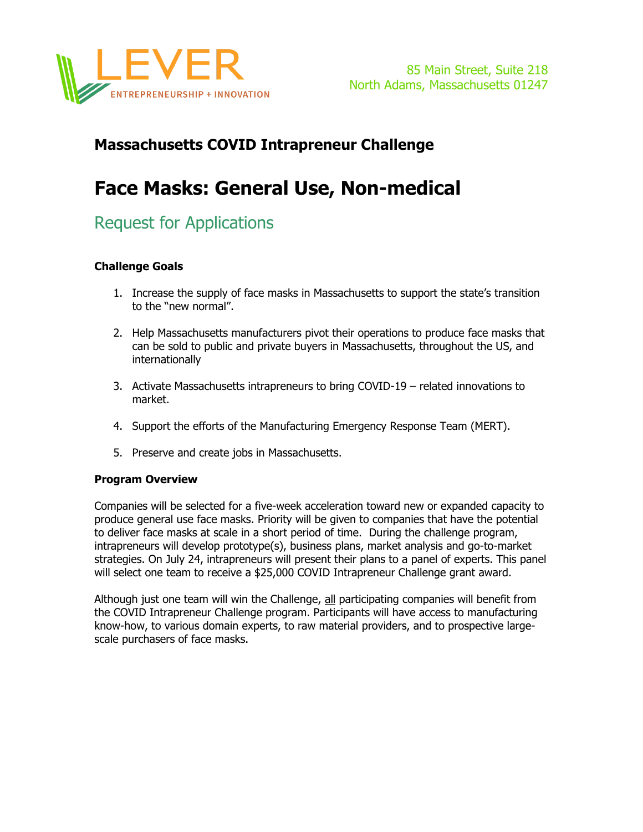

### **Massachusetts COVID Intrapreneur Challenge**

# **Face Masks: General Use, Non-medical**

## Request for Applications

#### **Challenge Goals**

- 1. Increase the supply of face masks in Massachusetts to support the state's transition to the "new normal".
- 2. Help Massachusetts manufacturers pivot their operations to produce face masks that can be sold to public and private buyers in Massachusetts, throughout the US, and internationally
- 3. Activate Massachusetts intrapreneurs to bring COVID-19 related innovations to market.
- 4. Support the efforts of the Manufacturing Emergency Response Team (MERT).
- 5. Preserve and create jobs in Massachusetts.

#### **Program Overview**

Companies will be selected for a five-week acceleration toward new or expanded capacity to produce general use face masks. Priority will be given to companies that have the potential to deliver face masks at scale in a short period of time. During the challenge program, intrapreneurs will develop prototype(s), business plans, market analysis and go-to-market strategies. On July 24, intrapreneurs will present their plans to a panel of experts. This panel will select one team to receive a \$25,000 COVID Intrapreneur Challenge grant award.

Although just one team will win the Challenge, all participating companies will benefit from the COVID Intrapreneur Challenge program. Participants will have access to manufacturing know-how, to various domain experts, to raw material providers, and to prospective largescale purchasers of face masks.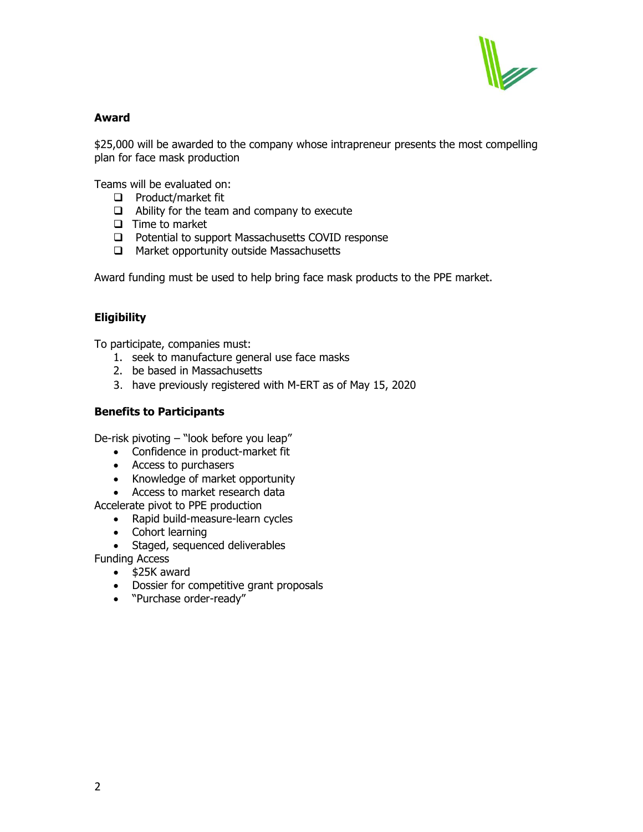

#### **Award**

\$25,000 will be awarded to the company whose intrapreneur presents the most compelling plan for face mask production

Teams will be evaluated on:

- $\Box$  Product/market fit
- $\Box$  Ability for the team and company to execute
- $\Box$  Time to market
- □ Potential to support Massachusetts COVID response
- □ Market opportunity outside Massachusetts

Award funding must be used to help bring face mask products to the PPE market.

#### **Eligibility**

To participate, companies must:

- 1. seek to manufacture general use face masks
- 2. be based in Massachusetts
- 3. have previously registered with M-ERT as of May 15, 2020

#### **Benefits to Participants**

De-risk pivoting – "look before you leap"

- Confidence in product-market fit
- Access to purchasers
- Knowledge of market opportunity
- Access to market research data

Accelerate pivot to PPE production

- Rapid build-measure-learn cycles
- Cohort learning
- Staged, sequenced deliverables

Funding Access

- \$25K award
- Dossier for competitive grant proposals
- "Purchase order-ready"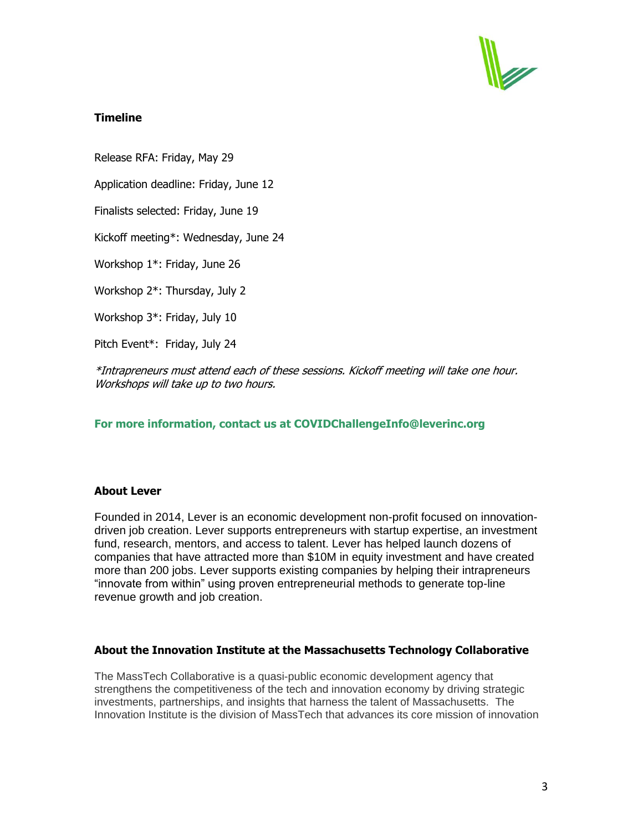

#### **Timeline**

Release RFA: Friday, May 29

Application deadline: Friday, June 12

Finalists selected: Friday, June 19

Kickoff meeting\*: Wednesday, June 24

Workshop 1\*: Friday, June 26

Workshop 2\*: Thursday, July 2

Workshop 3\*: Friday, July 10

Pitch Event\*: Friday, July 24

\*Intrapreneurs must attend each of these sessions. Kickoff meeting will take one hour. Workshops will take up to two hours.

#### **For more information, contact us at COVIDChallengeInfo@leverinc.org**

#### **About Lever**

Founded in 2014, Lever is an economic development non-profit focused on innovationdriven job creation. Lever supports entrepreneurs with startup expertise, an investment fund, research, mentors, and access to talent. Lever has helped launch dozens of companies that have attracted more than \$10M in equity investment and have created more than 200 jobs. Lever supports existing companies by helping their intrapreneurs "innovate from within" using proven entrepreneurial methods to generate top-line revenue growth and job creation.

#### **About the Innovation Institute at the Massachusetts Technology Collaborative**

The MassTech Collaborative is a quasi-public economic development agency that strengthens the competitiveness of the tech and innovation economy by driving strategic investments, partnerships, and insights that harness the talent of Massachusetts. The Innovation Institute is the division of MassTech that advances its core mission of innovation